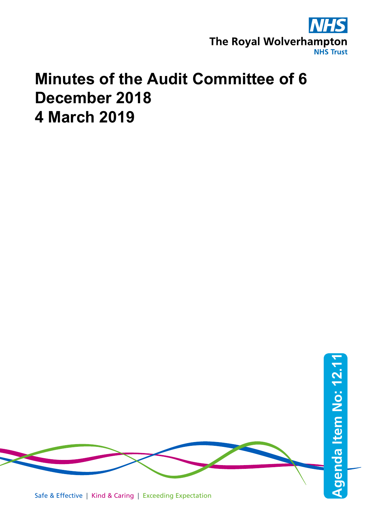

## **Minutes of the Audit Committee of 6 December 2018 4 March 2019**

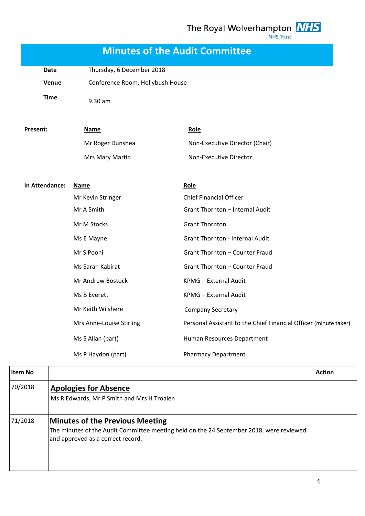The Royal Wolverhampton **NHS NHS Trust** 

**Minutes of the Audit Committee** Date Thursday, 6 December 2018 **Venue** Conference Room, Hollybush House **Time** 9.30 am **In Attendance: Name Role** Mr Kevin Stringer Chief Financial Officer Mr A Smith **Grant Thornton** – Internal Audit Mr M Stocks Grant Thornton Ms E Mayne Grant Thornton - Internal Audit Mr S Pooni Grant Thornton – Counter Fraud Ms Sarah Kabirat Grant Thornton – Counter Fraud Mr Andrew Bostock KPMG – External Audit Ms B Everett KPMG – External Audit Mr Keith Wilshere **Company Secretary** Mrs Anne-Louise Stirling Personal Assistant to the Chief Financial Officer (minute taker) Ms S Allan (part) Human Resources Department Ms P Haydon (part) **Pharmacy Department Item No Action** 70/2018 **Apologies for Absence**  Ms R Edwards, Mr P Smith and Mrs H Troalen 71/2018 **Minutes of the Previous Meeting**  The minutes of the Audit Committee meeting held on the 24 September 2018, were reviewed and approved as a correct record. **Present: Name Role** Mr Roger Dunshea Non-Executive Director (Chair) Mrs Mary Martin Non-Executive Director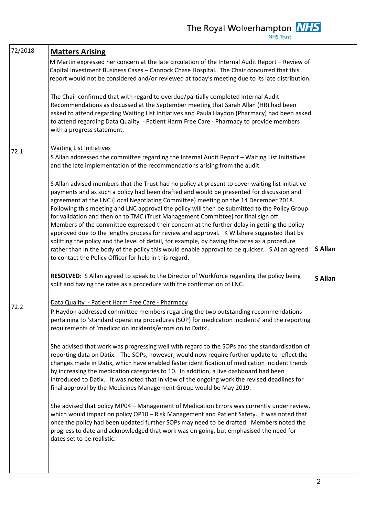| 72/2018 | <b>Matters Arising</b>                                                                                                                                                                                                                                                                                                                                                                                                                                                                                                                                                                                                                                                                                                                                                                                                                                                                                                              |                |
|---------|-------------------------------------------------------------------------------------------------------------------------------------------------------------------------------------------------------------------------------------------------------------------------------------------------------------------------------------------------------------------------------------------------------------------------------------------------------------------------------------------------------------------------------------------------------------------------------------------------------------------------------------------------------------------------------------------------------------------------------------------------------------------------------------------------------------------------------------------------------------------------------------------------------------------------------------|----------------|
|         | M Martin expressed her concern at the late circulation of the Internal Audit Report - Review of<br>Capital Investment Business Cases - Cannock Chase Hospital. The Chair concurred that this<br>report would not be considered and/or reviewed at today's meeting due to its late distribution.                                                                                                                                                                                                                                                                                                                                                                                                                                                                                                                                                                                                                                     |                |
|         | The Chair confirmed that with regard to overdue/partially completed Internal Audit<br>Recommendations as discussed at the September meeting that Sarah Allan (HR) had been<br>asked to attend regarding Waiting List Initiatives and Paula Haydon (Pharmacy) had been asked<br>to attend regarding Data Quality - Patient Harm Free Care - Pharmacy to provide members<br>with a progress statement.                                                                                                                                                                                                                                                                                                                                                                                                                                                                                                                                |                |
| 72.1    | <b>Waiting List Initiatives</b><br>S Allan addressed the committee regarding the Internal Audit Report - Waiting List Initiatives<br>and the late implementation of the recommendations arising from the audit.                                                                                                                                                                                                                                                                                                                                                                                                                                                                                                                                                                                                                                                                                                                     |                |
|         | S Allan advised members that the Trust had no policy at present to cover waiting list initiative<br>payments and as such a policy had been drafted and would be presented for discussion and<br>agreement at the LNC (Local Negotiating Committee) meeting on the 14 December 2018.<br>Following this meeting and LNC approval the policy will then be submitted to the Policy Group<br>for validation and then on to TMC (Trust Management Committee) for final sign off.<br>Members of the committee expressed their concern at the further delay in getting the policy<br>approved due to the lengthy process for review and approval. K Wilshere suggested that by<br>splitting the policy and the level of detail, for example, by having the rates as a procedure<br>rather than in the body of the policy this would enable approval to be quicker. S Allan agreed<br>to contact the Policy Officer for help in this regard. | <b>S</b> Allan |
|         | RESOLVED: S Allan agreed to speak to the Director of Workforce regarding the policy being<br>split and having the rates as a procedure with the confirmation of LNC.                                                                                                                                                                                                                                                                                                                                                                                                                                                                                                                                                                                                                                                                                                                                                                | <b>S</b> Allan |
| 72.2    | Data Quality - Patient Harm Free Care - Pharmacy<br>P Haydon addressed committee members regarding the two outstanding recommendations<br>pertaining to 'standard operating procedures (SOP) for medication incidents' and the reporting<br>requirements of 'medication incidents/errors on to Datix'.                                                                                                                                                                                                                                                                                                                                                                                                                                                                                                                                                                                                                              |                |
|         | She advised that work was progressing well with regard to the SOPs and the standardisation of<br>reporting data on Datix. The SOPs, however, would now require further update to reflect the<br>changes made in Datix, which have enabled faster identification of medication incident trends<br>by increasing the medication categories to 10. In addition, a live dashboard had been<br>introduced to Datix. It was noted that in view of the ongoing work the revised deadlines for<br>final approval by the Medicines Management Group would be May 2019.                                                                                                                                                                                                                                                                                                                                                                       |                |
|         | She advised that policy MP04 - Management of Medication Errors was currently under review,<br>which would impact on policy OP10 - Risk Management and Patient Safety. It was noted that<br>once the policy had been updated further SOPs may need to be drafted. Members noted the<br>progress to date and acknowledged that work was on going, but emphasised the need for<br>dates set to be realistic.                                                                                                                                                                                                                                                                                                                                                                                                                                                                                                                           |                |
|         |                                                                                                                                                                                                                                                                                                                                                                                                                                                                                                                                                                                                                                                                                                                                                                                                                                                                                                                                     |                |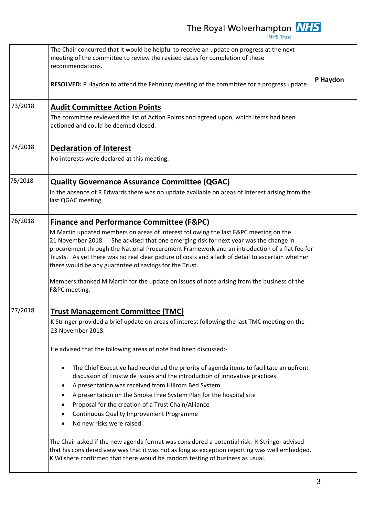|         | The Chair concurred that it would be helpful to receive an update on progress at the next<br>meeting of the committee to review the revised dates for completion of these<br>recommendations.                                                                                                                                                                                                                                                  |          |
|---------|------------------------------------------------------------------------------------------------------------------------------------------------------------------------------------------------------------------------------------------------------------------------------------------------------------------------------------------------------------------------------------------------------------------------------------------------|----------|
|         | RESOLVED: P Haydon to attend the February meeting of the committee for a progress update                                                                                                                                                                                                                                                                                                                                                       | P Haydon |
| 73/2018 | <b>Audit Committee Action Points</b><br>The committee reviewed the list of Action Points and agreed upon, which items had been<br>actioned and could be deemed closed.                                                                                                                                                                                                                                                                         |          |
| 74/2018 | <b>Declaration of Interest</b>                                                                                                                                                                                                                                                                                                                                                                                                                 |          |
|         | No interests were declared at this meeting.                                                                                                                                                                                                                                                                                                                                                                                                    |          |
| 75/2018 | <b>Quality Governance Assurance Committee (QGAC)</b>                                                                                                                                                                                                                                                                                                                                                                                           |          |
|         | In the absence of R Edwards there was no update available on areas of interest arising from the<br>last QGAC meeting.                                                                                                                                                                                                                                                                                                                          |          |
| 76/2018 | <b>Finance and Performance Committee (F&amp;PC)</b>                                                                                                                                                                                                                                                                                                                                                                                            |          |
|         | M Martin updated members on areas of interest following the last F&PC meeting on the<br>She advised that one emerging risk for next year was the change in<br>21 November 2018.<br>procurement through the National Procurement Framework and an introduction of a flat fee for<br>Trusts. As yet there was no real clear picture of costs and a lack of detail to ascertain whether<br>there would be any guarantee of savings for the Trust. |          |
|         | Members thanked M Martin for the update on issues of note arising from the business of the<br>F&PC meeting.                                                                                                                                                                                                                                                                                                                                    |          |
| 77/2018 | <b>Trust Management Committee (TMC)</b>                                                                                                                                                                                                                                                                                                                                                                                                        |          |
|         | K Stringer provided a brief update on areas of interest following the last TMC meeting on the<br>23 November 2018.                                                                                                                                                                                                                                                                                                                             |          |
|         | He advised that the following areas of note had been discussed:-                                                                                                                                                                                                                                                                                                                                                                               |          |
|         | The Chief Executive had reordered the priority of agenda items to facilitate an upfront<br>$\bullet$<br>discussion of Trustwide issues and the introduction of innovative practices                                                                                                                                                                                                                                                            |          |
|         | A presentation was received from Hillrom Bed System<br>$\bullet$                                                                                                                                                                                                                                                                                                                                                                               |          |
|         | A presentation on the Smoke Free System Plan for the hospital site<br>٠                                                                                                                                                                                                                                                                                                                                                                        |          |
|         | Proposal for the creation of a Trust Chain/Alliance<br>٠                                                                                                                                                                                                                                                                                                                                                                                       |          |
|         | <b>Continuous Quality Improvement Programme</b><br>No new risks were raised                                                                                                                                                                                                                                                                                                                                                                    |          |
|         |                                                                                                                                                                                                                                                                                                                                                                                                                                                |          |
|         | The Chair asked if the new agenda format was considered a potential risk. K Stringer advised<br>that his considered view was that it was not as long as exception reporting was well embedded.<br>K Wilshere confirmed that there would be random testing of business as usual.                                                                                                                                                                |          |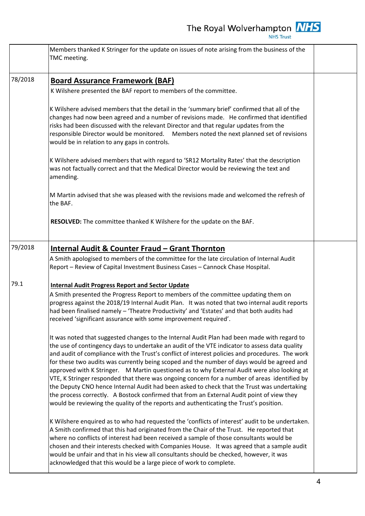|         | Members thanked K Stringer for the update on issues of note arising from the business of the<br>TMC meeting.                                                                                                                                                                                                                                                                                                                                                                                                                                                                                                                                                                                                                                                                                                      |  |
|---------|-------------------------------------------------------------------------------------------------------------------------------------------------------------------------------------------------------------------------------------------------------------------------------------------------------------------------------------------------------------------------------------------------------------------------------------------------------------------------------------------------------------------------------------------------------------------------------------------------------------------------------------------------------------------------------------------------------------------------------------------------------------------------------------------------------------------|--|
| 78/2018 | <b>Board Assurance Framework (BAF)</b><br>K Wilshere presented the BAF report to members of the committee.                                                                                                                                                                                                                                                                                                                                                                                                                                                                                                                                                                                                                                                                                                        |  |
|         | K Wilshere advised members that the detail in the 'summary brief' confirmed that all of the<br>changes had now been agreed and a number of revisions made. He confirmed that identified<br>risks had been discussed with the relevant Director and that regular updates from the<br>responsible Director would be monitored. Members noted the next planned set of revisions<br>would be in relation to any gaps in controls.                                                                                                                                                                                                                                                                                                                                                                                     |  |
|         | K Wilshere advised members that with regard to 'SR12 Mortality Rates' that the description<br>was not factually correct and that the Medical Director would be reviewing the text and<br>amending.                                                                                                                                                                                                                                                                                                                                                                                                                                                                                                                                                                                                                |  |
|         | M Martin advised that she was pleased with the revisions made and welcomed the refresh of<br>the BAF.                                                                                                                                                                                                                                                                                                                                                                                                                                                                                                                                                                                                                                                                                                             |  |
|         | RESOLVED: The committee thanked K Wilshere for the update on the BAF.                                                                                                                                                                                                                                                                                                                                                                                                                                                                                                                                                                                                                                                                                                                                             |  |
| 79/2018 | <b>Internal Audit &amp; Counter Fraud - Grant Thornton</b><br>A Smith apologised to members of the committee for the late circulation of Internal Audit<br>Report - Review of Capital Investment Business Cases - Cannock Chase Hospital.                                                                                                                                                                                                                                                                                                                                                                                                                                                                                                                                                                         |  |
| 79.1    | <b>Internal Audit Progress Report and Sector Update</b><br>A Smith presented the Progress Report to members of the committee updating them on<br>progress against the 2018/19 Internal Audit Plan. It was noted that two internal audit reports<br>had been finalised namely - 'Theatre Productivity' and 'Estates' and that both audits had<br>received 'significant assurance with some improvement required'.<br>It was noted that suggested changes to the Internal Audit Plan had been made with regard to<br>the use of contingency days to undertake an audit of the VTE indicator to assess data quality<br>and audit of compliance with the Trust's conflict of interest policies and procedures. The work<br>for these two audits was currently being scoped and the number of days would be agreed and |  |
|         | approved with K Stringer. M Martin questioned as to why External Audit were also looking at<br>VTE, K Stringer responded that there was ongoing concern for a number of areas identified by<br>the Deputy CNO hence Internal Audit had been asked to check that the Trust was undertaking<br>the process correctly. A Bostock confirmed that from an External Audit point of view they<br>would be reviewing the quality of the reports and authenticating the Trust's position.                                                                                                                                                                                                                                                                                                                                  |  |
|         | K Wilshere enquired as to who had requested the 'conflicts of interest' audit to be undertaken.<br>A Smith confirmed that this had originated from the Chair of the Trust. He reported that<br>where no conflicts of interest had been received a sample of those consultants would be<br>chosen and their interests checked with Companies House. It was agreed that a sample audit<br>would be unfair and that in his view all consultants should be checked, however, it was<br>acknowledged that this would be a large piece of work to complete.                                                                                                                                                                                                                                                             |  |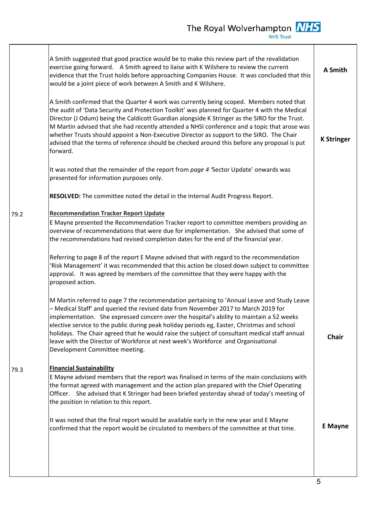|      | A Smith suggested that good practice would be to make this review part of the revalidation<br>exercise going forward. A Smith agreed to liaise with K Wilshere to review the current<br>evidence that the Trust holds before approaching Companies House. It was concluded that this<br>would be a joint piece of work between A Smith and K Wilshere.                                                                                                                                                                                                                                               | A Smith           |
|------|------------------------------------------------------------------------------------------------------------------------------------------------------------------------------------------------------------------------------------------------------------------------------------------------------------------------------------------------------------------------------------------------------------------------------------------------------------------------------------------------------------------------------------------------------------------------------------------------------|-------------------|
|      | A Smith confirmed that the Quarter 4 work was currently being scoped. Members noted that<br>the audit of 'Data Security and Protection Toolkit' was planned for Quarter 4 with the Medical<br>Director (J Odum) being the Caldicott Guardian alongside K Stringer as the SIRO for the Trust.<br>M Martin advised that she had recently attended a NHSI conference and a topic that arose was<br>whether Trusts should appoint a Non-Executive Director as support to the SIRO. The Chair<br>advised that the terms of reference should be checked around this before any proposal is put<br>forward. | <b>K Stringer</b> |
|      | It was noted that the remainder of the report from page 4 'Sector Update' onwards was<br>presented for information purposes only.                                                                                                                                                                                                                                                                                                                                                                                                                                                                    |                   |
|      | RESOLVED: The committee noted the detail in the Internal Audit Progress Report.                                                                                                                                                                                                                                                                                                                                                                                                                                                                                                                      |                   |
| 79.2 | <b>Recommendation Tracker Report Update</b><br>E Mayne presented the Recommendation Tracker report to committee members providing an<br>overview of recommendations that were due for implementation. She advised that some of<br>the recommendations had revised completion dates for the end of the financial year.                                                                                                                                                                                                                                                                                |                   |
|      | Referring to page 8 of the report E Mayne advised that with regard to the recommendation<br>'Risk Management' it was recommended that this action be closed down subject to committee<br>approval. It was agreed by members of the committee that they were happy with the<br>proposed action.                                                                                                                                                                                                                                                                                                       |                   |
|      | M Martin referred to page 7 the recommendation pertaining to 'Annual Leave and Study Leave<br>- Medical Staff' and queried the revised date from November 2017 to March 2019 for<br>implementation. She expressed concern over the hospital's ability to maintain a 52 weeks<br>elective service to the public during peak holiday periods eg, Easter, Christmas and school<br>holidays. The Chair agreed that he would raise the subject of consultant medical staff annual<br>leave with the Director of Workforce at next week's Workforce and Organisational<br>Development Committee meeting.   | Chair             |
| 79.3 | <b>Financial Sustainability</b><br>E Mayne advised members that the report was finalised in terms of the main conclusions with<br>the format agreed with management and the action plan prepared with the Chief Operating<br>Officer. She advised that K Stringer had been briefed yesterday ahead of today's meeting of<br>the position in relation to this report.                                                                                                                                                                                                                                 |                   |
|      | It was noted that the final report would be available early in the new year and E Mayne<br>confirmed that the report would be circulated to members of the committee at that time.                                                                                                                                                                                                                                                                                                                                                                                                                   | <b>E</b> Mayne    |
|      |                                                                                                                                                                                                                                                                                                                                                                                                                                                                                                                                                                                                      |                   |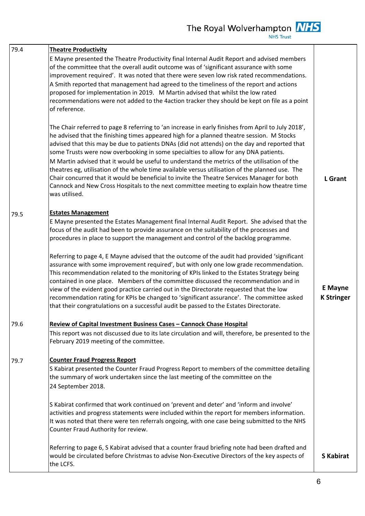| 79.4 | <b>Theatre Productivity</b>                                                                                                                                                                                                                                                                                                                                                                                                                                                                                                                                                                                                                                    |                                     |
|------|----------------------------------------------------------------------------------------------------------------------------------------------------------------------------------------------------------------------------------------------------------------------------------------------------------------------------------------------------------------------------------------------------------------------------------------------------------------------------------------------------------------------------------------------------------------------------------------------------------------------------------------------------------------|-------------------------------------|
|      | E Mayne presented the Theatre Productivity final Internal Audit Report and advised members<br>of the committee that the overall audit outcome was of 'significant assurance with some<br>improvement required'. It was noted that there were seven low risk rated recommendations.<br>A Smith reported that management had agreed to the timeliness of the report and actions                                                                                                                                                                                                                                                                                  |                                     |
|      | proposed for implementation in 2019. M Martin advised that whilst the low rated<br>recommendations were not added to the 4action tracker they should be kept on file as a point<br>of reference.                                                                                                                                                                                                                                                                                                                                                                                                                                                               |                                     |
|      | The Chair referred to page 8 referring to 'an increase in early finishes from April to July 2018',<br>he advised that the finishing times appeared high for a planned theatre session. M Stocks<br>advised that this may be due to patients DNAs (did not attends) on the day and reported that<br>some Trusts were now overbooking in some specialties to allow for any DNA patients.<br>M Martin advised that it would be useful to understand the metrics of the utilisation of the                                                                                                                                                                         |                                     |
|      | theatres eg, utilisation of the whole time available versus utilisation of the planned use. The<br>Chair concurred that it would be beneficial to invite the Theatre Services Manager for both<br>Cannock and New Cross Hospitals to the next committee meeting to explain how theatre time<br>was utilised.                                                                                                                                                                                                                                                                                                                                                   | <b>L</b> Grant                      |
| 79.5 | <b>Estates Management</b>                                                                                                                                                                                                                                                                                                                                                                                                                                                                                                                                                                                                                                      |                                     |
|      | E Mayne presented the Estates Management final Internal Audit Report. She advised that the<br>focus of the audit had been to provide assurance on the suitability of the processes and<br>procedures in place to support the management and control of the backlog programme.                                                                                                                                                                                                                                                                                                                                                                                  |                                     |
|      | Referring to page 4, E Mayne advised that the outcome of the audit had provided 'significant<br>assurance with some improvement required', but with only one low grade recommendation.<br>This recommendation related to the monitoring of KPIs linked to the Estates Strategy being<br>contained in one place. Members of the committee discussed the recommendation and in<br>view of the evident good practice carried out in the Directorate requested that the low<br>recommendation rating for KPIs be changed to 'significant assurance'. The committee asked<br>that their congratulations on a successful audit be passed to the Estates Directorate. | <b>E</b> Mayne<br><b>K Stringer</b> |
| 79.6 | Review of Capital Investment Business Cases - Cannock Chase Hospital<br>This report was not discussed due to its late circulation and will, therefore, be presented to the<br>February 2019 meeting of the committee.                                                                                                                                                                                                                                                                                                                                                                                                                                          |                                     |
| 79.7 | <b>Counter Fraud Progress Report</b><br>S Kabirat presented the Counter Fraud Progress Report to members of the committee detailing<br>the summary of work undertaken since the last meeting of the committee on the<br>24 September 2018.                                                                                                                                                                                                                                                                                                                                                                                                                     |                                     |
|      | S Kabirat confirmed that work continued on 'prevent and deter' and 'inform and involve'<br>activities and progress statements were included within the report for members information.<br>It was noted that there were ten referrals ongoing, with one case being submitted to the NHS<br>Counter Fraud Authority for review.                                                                                                                                                                                                                                                                                                                                  |                                     |
|      | Referring to page 6, S Kabirat advised that a counter fraud briefing note had been drafted and<br>would be circulated before Christmas to advise Non-Executive Directors of the key aspects of<br>the LCFS.                                                                                                                                                                                                                                                                                                                                                                                                                                                    | <b>S</b> Kabirat                    |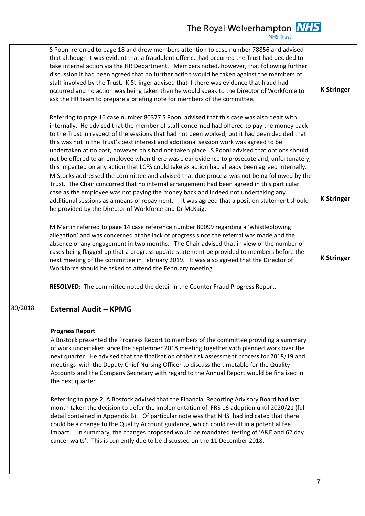|         | S Pooni referred to page 18 and drew members attention to case number 78856 and advised<br>that although it was evident that a fraudulent offence had occurred the Trust had decided to<br>take internal action via the HR Department. Members noted, however, that following further<br>discussion it had been agreed that no further action would be taken against the members of<br>staff involved by the Trust. K Stringer advised that if there was evidence that fraud had<br>occurred and no action was being taken then he would speak to the Director of Workforce to<br>ask the HR team to prepare a briefing note for members of the committee.                                                                                                                                                                                                                                                                                                                                                                                                                                                                          | <b>K Stringer</b> |
|---------|-------------------------------------------------------------------------------------------------------------------------------------------------------------------------------------------------------------------------------------------------------------------------------------------------------------------------------------------------------------------------------------------------------------------------------------------------------------------------------------------------------------------------------------------------------------------------------------------------------------------------------------------------------------------------------------------------------------------------------------------------------------------------------------------------------------------------------------------------------------------------------------------------------------------------------------------------------------------------------------------------------------------------------------------------------------------------------------------------------------------------------------|-------------------|
|         | Referring to page 16 case number 80377 S Pooni advised that this case was also dealt with<br>internally. He advised that the member of staff concerned had offered to pay the money back<br>to the Trust in respect of the sessions that had not been worked, but it had been decided that<br>this was not in the Trust's best interest and additional session work was agreed to be<br>undertaken at no cost, however, this had not taken place. S Pooni advised that options should<br>not be offered to an employee when there was clear evidence to prosecute and, unfortunately,<br>this impacted on any action that LCFS could take as action had already been agreed internally.<br>M Stocks addressed the committee and advised that due process was not being followed by the<br>Trust. The Chair concurred that no internal arrangement had been agreed in this particular<br>case as the employee was not paying the money back and indeed not undertaking any<br>additional sessions as a means of repayment. It was agreed that a position statement should<br>be provided by the Director of Workforce and Dr McKaig. | <b>K Stringer</b> |
|         | M Martin referred to page 14 case reference number 80099 regarding a 'whistleblowing'<br>allegation' and was concerned at the lack of progress since the referral was made and the<br>absence of any engagement in two months. The Chair advised that in view of the number of<br>cases being flagged up that a progress update statement be provided to members before the<br>next meeting of the committee in February 2019. It was also agreed that the Director of<br>Workforce should be asked to attend the February meeting.<br>RESOLVED: The committee noted the detail in the Counter Fraud Progress Report.                                                                                                                                                                                                                                                                                                                                                                                                                                                                                                               | <b>K Stringer</b> |
|         |                                                                                                                                                                                                                                                                                                                                                                                                                                                                                                                                                                                                                                                                                                                                                                                                                                                                                                                                                                                                                                                                                                                                     |                   |
| 80/2018 | <b>External Audit - KPMG</b><br><b>Progress Report</b><br>A Bostock presented the Progress Report to members of the committee providing a summary<br>of work undertaken since the September 2018 meeting together with planned work over the<br>next quarter. He advised that the finalisation of the risk assessment process for 2018/19 and<br>meetings with the Deputy Chief Nursing Officer to discuss the timetable for the Quality<br>Accounts and the Company Secretary with regard to the Annual Report would be finalised in<br>the next quarter.<br>Referring to page 2, A Bostock advised that the Financial Reporting Advisory Board had last<br>month taken the decision to defer the implementation of IFRS 16 adoption until 2020/21 (full<br>detail contained in Appendix B). Of particular note was that NHSI had indicated that there<br>could be a change to the Quality Account guidance, which could result in a potential fee<br>impact. In summary, the changes proposed would be mandated testing of 'A&E and 62 day<br>cancer waits'. This is currently due to be discussed on the 11 December 2018.       |                   |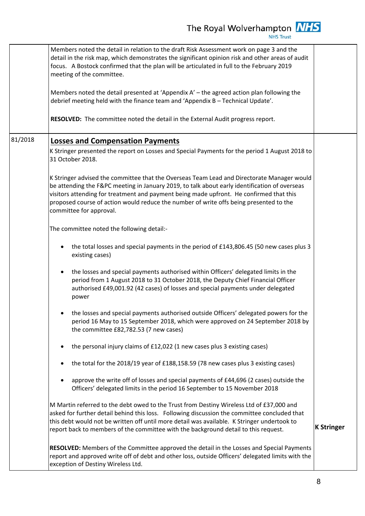|         | Members noted the detail in relation to the draft Risk Assessment work on page 3 and the<br>detail in the risk map, which demonstrates the significant opinion risk and other areas of audit<br>focus. A Bostock confirmed that the plan will be articulated in full to the February 2019<br>meeting of the committee.                                                                                      |                   |
|---------|-------------------------------------------------------------------------------------------------------------------------------------------------------------------------------------------------------------------------------------------------------------------------------------------------------------------------------------------------------------------------------------------------------------|-------------------|
|         | Members noted the detail presented at 'Appendix A' - the agreed action plan following the<br>debrief meeting held with the finance team and 'Appendix B - Technical Update'.                                                                                                                                                                                                                                |                   |
|         | RESOLVED: The committee noted the detail in the External Audit progress report.                                                                                                                                                                                                                                                                                                                             |                   |
| 81/2018 | <b>Losses and Compensation Payments</b>                                                                                                                                                                                                                                                                                                                                                                     |                   |
|         | K Stringer presented the report on Losses and Special Payments for the period 1 August 2018 to<br>31 October 2018.                                                                                                                                                                                                                                                                                          |                   |
|         | K Stringer advised the committee that the Overseas Team Lead and Directorate Manager would<br>be attending the F&PC meeting in January 2019, to talk about early identification of overseas<br>visitors attending for treatment and payment being made upfront. He confirmed that this<br>proposed course of action would reduce the number of write offs being presented to the<br>committee for approval. |                   |
|         | The committee noted the following detail:-                                                                                                                                                                                                                                                                                                                                                                  |                   |
|         | the total losses and special payments in the period of £143,806.45 (50 new cases plus 3<br>existing cases)                                                                                                                                                                                                                                                                                                  |                   |
|         | the losses and special payments authorised within Officers' delegated limits in the<br>period from 1 August 2018 to 31 October 2018, the Deputy Chief Financial Officer<br>authorised £49,001.92 (42 cases) of losses and special payments under delegated<br>power                                                                                                                                         |                   |
|         | the losses and special payments authorised outside Officers' delegated powers for the<br>period 16 May to 15 September 2018, which were approved on 24 September 2018 by<br>the committee £82,782.53 (7 new cases)                                                                                                                                                                                          |                   |
|         | the personal injury claims of £12,022 (1 new cases plus 3 existing cases)                                                                                                                                                                                                                                                                                                                                   |                   |
|         | the total for the 2018/19 year of £188,158.59 (78 new cases plus 3 existing cases)                                                                                                                                                                                                                                                                                                                          |                   |
|         | approve the write off of losses and special payments of £44,696 (2 cases) outside the<br>Officers' delegated limits in the period 16 September to 15 November 2018                                                                                                                                                                                                                                          |                   |
|         | M Martin referred to the debt owed to the Trust from Destiny Wireless Ltd of £37,000 and<br>asked for further detail behind this loss. Following discussion the committee concluded that<br>this debt would not be written off until more detail was available. K Stringer undertook to<br>report back to members of the committee with the background detail to this request.                              | <b>K Stringer</b> |
|         | RESOLVED: Members of the Committee approved the detail in the Losses and Special Payments<br>report and approved write off of debt and other loss, outside Officers' delegated limits with the<br>exception of Destiny Wireless Ltd.                                                                                                                                                                        |                   |